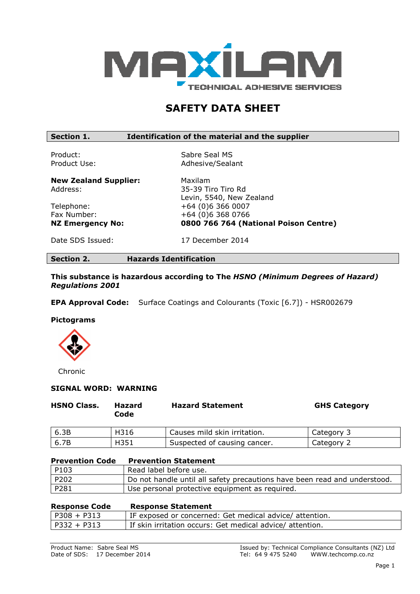

# SAFETY DATA SHEET

# Section 1. **IDENTIFICATE:** Intervalse of the material and the supplier

Product: Sabre Seal MS Product Use: Adhesive/Sealant

New Zealand Supplier: Maxilam Address: 35-39 Tiro Tiro Rd

Levin, 5540, New Zealand Telephone: +64 (0)6 366 0007 Fax Number: +64 (0)6 368 0766 NZ Emergency No: 0800 766 764 (National Poison Centre)

Date SDS Issued: 17 December 2014

Section 2. Hazards Identification

This substance is hazardous according to The HSNO (Minimum Degrees of Hazard) Regulations 2001

EPA Approval Code: Surface Coatings and Colourants (Toxic [6.7]) - HSR002679

#### Pictograms



Chronic

#### SIGNAL WORD: WARNING

| <b>HSNO Class.</b> | Hazard<br>Code | <b>Hazard Statement</b>      | <b>GHS Category</b> |
|--------------------|----------------|------------------------------|---------------------|
| 6.3B               | H316           | Causes mild skin irritation. | Category 3          |
| 6.7B               | H351           | Suspected of causing cancer. | Category 2          |

| <b>Prevention Code</b> | <b>Prevention Statement</b>                                               |
|------------------------|---------------------------------------------------------------------------|
| P103                   | Read label before use.                                                    |
| P202                   | Do not handle until all safety precautions have been read and understood. |
| P281                   | Use personal protective equipment as required.                            |

| <b>Response Code</b> | <b>Response Statement</b>                                |
|----------------------|----------------------------------------------------------|
| $P308 + P313$        | IF exposed or concerned: Get medical advice/ attention.  |
| $ $ P332 + P313      | If skin irritation occurs: Get medical advice/attention. |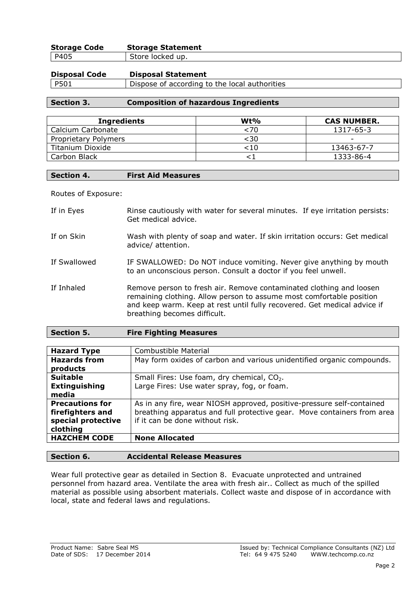| <b>Storage Code</b> | <b>Storage Statement</b> |
|---------------------|--------------------------|
| P405                | Store locked up.         |

| <b>Disposal Code</b> | <b>Disposal Statement</b>                     |
|----------------------|-----------------------------------------------|
| P501                 | Dispose of according to the local authorities |

# Section 3. Composition of hazardous Ingredients

| <b>Ingredients</b>   | $Wt\%$ | <b>CAS NUMBER.</b>       |
|----------------------|--------|--------------------------|
| Calcium Carbonate    | <70    | 1317-65-3                |
| Proprietary Polymers | <30    | $\overline{\phantom{0}}$ |
| Titanium Dioxide     | <10    | 13463-67-7               |
| Carbon Black         |        | 1333-86-4                |

# Section 4. First Aid Measures

Routes of Exposure:

| If in Eyes   | Rinse cautiously with water for several minutes. If eye irritation persists:<br>Get medical advice.                                                                                                                                                     |
|--------------|---------------------------------------------------------------------------------------------------------------------------------------------------------------------------------------------------------------------------------------------------------|
| If on Skin   | Wash with plenty of soap and water. If skin irritation occurs: Get medical<br>advice/ attention.                                                                                                                                                        |
| If Swallowed | IF SWALLOWED: Do NOT induce vomiting. Never give anything by mouth<br>to an unconscious person. Consult a doctor if you feel unwell.                                                                                                                    |
| If Inhaled   | Remove person to fresh air. Remove contaminated clothing and loosen<br>remaining clothing. Allow person to assume most comfortable position<br>and keep warm. Keep at rest until fully recovered. Get medical advice if<br>breathing becomes difficult. |

| <b>Section 5.</b> | <b>Fire Fighting Measures</b> |  |
|-------------------|-------------------------------|--|
|-------------------|-------------------------------|--|

| <b>Hazard Type</b>     | Combustible Material                                                    |  |
|------------------------|-------------------------------------------------------------------------|--|
| <b>Hazards from</b>    | May form oxides of carbon and various unidentified organic compounds.   |  |
| products               |                                                                         |  |
| <b>Suitable</b>        | Small Fires: Use foam, dry chemical, CO <sub>2</sub> .                  |  |
| <b>Extinguishing</b>   | Large Fires: Use water spray, fog, or foam.                             |  |
| media                  |                                                                         |  |
| <b>Precautions for</b> | As in any fire, wear NIOSH approved, positive-pressure self-contained   |  |
| firefighters and       | breathing apparatus and full protective gear. Move containers from area |  |
| special protective     | if it can be done without risk.                                         |  |
| clothing               |                                                                         |  |
| <b>HAZCHEM CODE</b>    | <b>None Allocated</b>                                                   |  |
|                        |                                                                         |  |

# Section 6. Accidental Release Measures

Wear full protective gear as detailed in Section 8. Evacuate unprotected and untrained personnel from hazard area. Ventilate the area with fresh air.. Collect as much of the spilled material as possible using absorbent materials. Collect waste and dispose of in accordance with local, state and federal laws and regulations.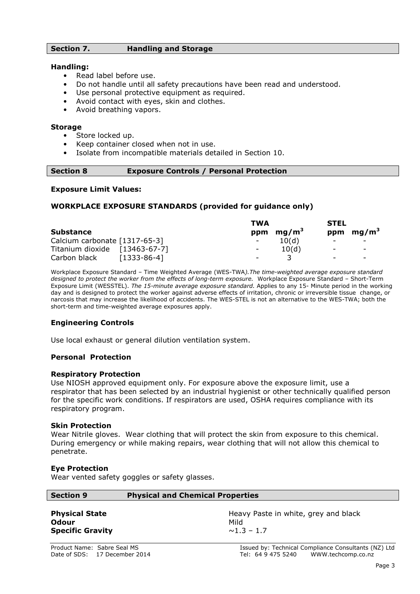# Section 7. Handling and Storage

#### Handling:

- Read label before use.
- Do not handle until all safety precautions have been read and understood.
- Use personal protective equipment as required.
- Avoid contact with eyes, skin and clothes.
- Avoid breathing vapors.

#### Storage

- Store locked up.
- Keep container closed when not in use.
- Isolate from incompatible materials detailed in Section 10.

#### Section 8 Exposure Controls / Personal Protection

#### Exposure Limit Values:

#### WORKPLACE EXPOSURE STANDARDS (provided for guidance only)

|                               |               | <b>TWA</b>               |                   | <b>STEL</b>              |                          |
|-------------------------------|---------------|--------------------------|-------------------|--------------------------|--------------------------|
| <b>Substance</b>              |               | ppm                      | mg/m <sup>3</sup> |                          | ppm $mg/m3$              |
| Calcium carbonate [1317-65-3] |               | $\sim$                   | 10(d)             |                          |                          |
| Titanium dioxide [13463-67-7] |               | $\overline{\phantom{a}}$ | 10(d)             | $\overline{\phantom{0}}$ | $\overline{\phantom{0}}$ |
| Carbon black                  | $[1333-86-4]$ | $\overline{\phantom{a}}$ |                   | $\overline{\phantom{a}}$ | $\overline{\phantom{0}}$ |

Workplace Exposure Standard - Time Weighted Average (WES-TWA). The time-weighted average exposure standard designed to protect the worker from the effects of long-term exposure. Workplace Exposure Standard – Short-Term Exposure Limit (WESSTEL). The 15-minute average exposure standard. Applies to any 15- Minute period in the working day and is designed to protect the worker against adverse effects of irritation, chronic or irreversible tissue change, or narcosis that may increase the likelihood of accidents. The WES-STEL is not an alternative to the WES-TWA; both the short-term and time-weighted average exposures apply.

#### Engineering Controls

Use local exhaust or general dilution ventilation system.

#### Personal Protection

#### Respiratory Protection

Use NIOSH approved equipment only. For exposure above the exposure limit, use a respirator that has been selected by an industrial hygienist or other technically qualified person for the specific work conditions. If respirators are used, OSHA requires compliance with its respiratory program.

#### Skin Protection

Wear Nitrile gloves. Wear clothing that will protect the skin from exposure to this chemical. During emergency or while making repairs, wear clothing that will not allow this chemical to penetrate.

#### Eye Protection

Wear vented safety goggles or safety glasses.

| <b>Section 9</b> | <b>Physical and Chemical Properties</b> |
|------------------|-----------------------------------------|
|                  |                                         |

Odour Mild Specific Gravity  $\sim 1.3 - 1.7$ 

**Physical State Heavy Paste in white, grey and black** Heavy Paste in white, grey and black

Product Name: Sabre Seal MS<br>
Date of SDS: 17 December 2014 **In the Seal MS** Issued by: Technical Compliance Consultants (NZ) Ltd<br>
Tel: 64 9 475 5240 WWW.techcomp.co.nz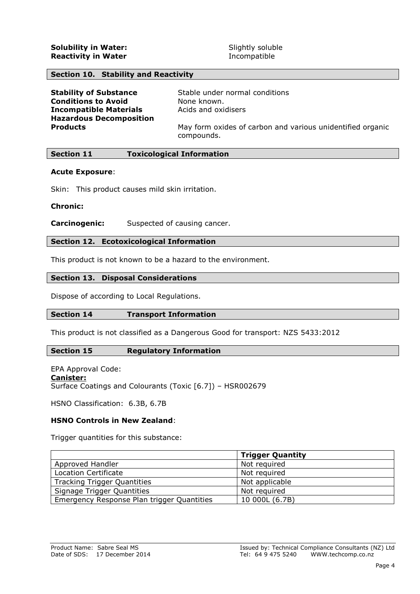# Section 10. Stability and Reactivity

| <b>Stability of Substance</b>  | Stable under normal conditions                                           |
|--------------------------------|--------------------------------------------------------------------------|
| <b>Conditions to Avoid</b>     | None known.                                                              |
| <b>Incompatible Materials</b>  | Acids and oxidisers                                                      |
| <b>Hazardous Decomposition</b> |                                                                          |
| <b>Products</b>                | May form oxides of carbon and various unidentified organic<br>compounds. |

#### Section 11 Toxicological Information

#### Acute Exposure:

Skin: This product causes mild skin irritation.

#### Chronic:

**Carcinogenic:** Suspected of causing cancer.

#### Section 12. Ecotoxicological Information

This product is not known to be a hazard to the environment.

## Section 13. Disposal Considerations

Dispose of according to Local Regulations.

#### Section 14 Transport Information

This product is not classified as a Dangerous Good for transport: NZS 5433:2012

#### Section 15 Regulatory Information

EPA Approval Code: Canister: Surface Coatings and Colourants (Toxic [6.7]) – HSR002679

HSNO Classification: 6.3B, 6.7B

# HSNO Controls in New Zealand:

Trigger quantities for this substance:

|                                            | <b>Trigger Quantity</b> |
|--------------------------------------------|-------------------------|
| Approved Handler                           | Not required            |
| Location Certificate                       | Not required            |
| <b>Tracking Trigger Quantities</b>         | Not applicable          |
| Signage Trigger Quantities                 | Not required            |
| Emergency Response Plan trigger Quantities | 10 000L (6.7B)          |